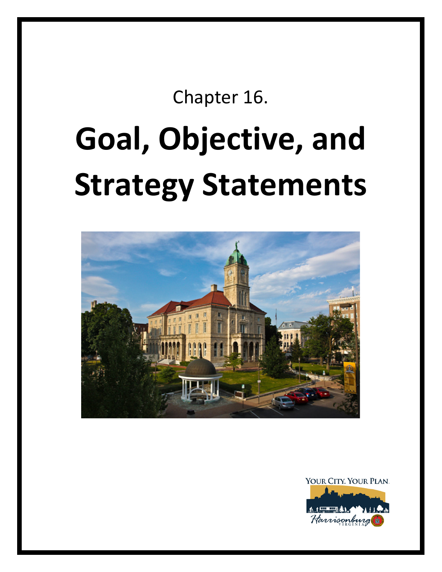# Chapter 16.

# **Goal, Objective, and Strategy Statements**



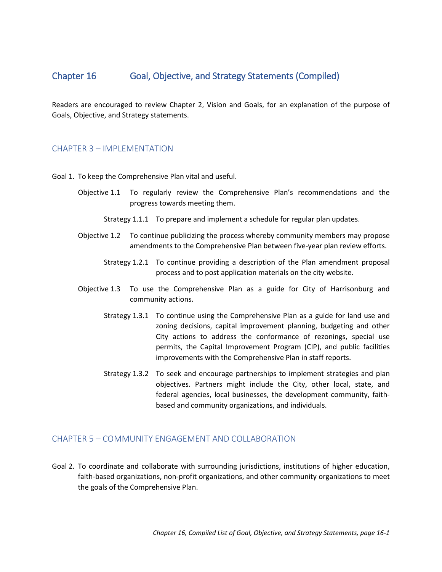# Chapter 16 Goal, Objective, and Strategy Statements (Compiled)

Readers are encouraged to review Chapter 2, Vision and Goals, for an explanation of the purpose of Goals, Objective, and Strategy statements.

# CHAPTER 3 – IMPLEMENTATION

Goal 1. To keep the Comprehensive Plan vital and useful.

- Objective 1.1 To regularly review the Comprehensive Plan's recommendations and the progress towards meeting them.
	- Strategy 1.1.1 To prepare and implement a schedule for regular plan updates.
- Objective 1.2 To continue publicizing the process whereby community members may propose amendments to the Comprehensive Plan between five-year plan review efforts.
	- Strategy 1.2.1 To continue providing a description of the Plan amendment proposal process and to post application materials on the city website.
- Objective 1.3 To use the Comprehensive Plan as a guide for City of Harrisonburg and community actions.
	- Strategy 1.3.1 To continue using the Comprehensive Plan as a guide for land use and zoning decisions, capital improvement planning, budgeting and other City actions to address the conformance of rezonings, special use permits, the Capital Improvement Program (CIP), and public facilities improvements with the Comprehensive Plan in staff reports.
	- Strategy 1.3.2 To seek and encourage partnerships to implement strategies and plan objectives. Partners might include the City, other local, state, and federal agencies, local businesses, the development community, faithbased and community organizations, and individuals.

# CHAPTER 5 – COMMUNITY ENGAGEMENT AND COLLABORATION

Goal 2. To coordinate and collaborate with surrounding jurisdictions, institutions of higher education, faith-based organizations, non-profit organizations, and other community organizations to meet the goals of the Comprehensive Plan.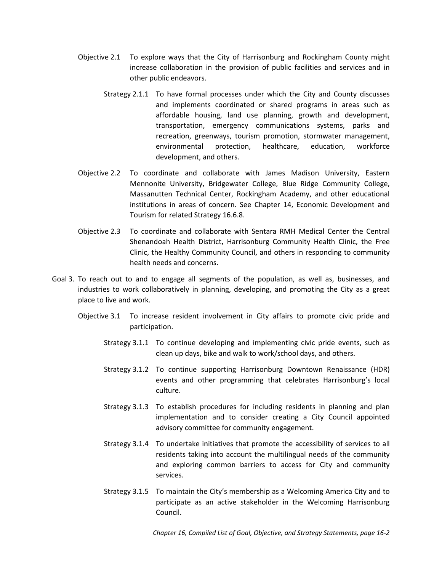- Objective 2.1 To explore ways that the City of Harrisonburg and Rockingham County might increase collaboration in the provision of public facilities and services and in other public endeavors.
	- Strategy 2.1.1 To have formal processes under which the City and County discusses and implements coordinated or shared programs in areas such as affordable housing, land use planning, growth and development, transportation, emergency communications systems, parks and recreation, greenways, tourism promotion, stormwater management, environmental protection, healthcare, education, workforce development, and others.
- Objective 2.2 To coordinate and collaborate with James Madison University, Eastern Mennonite University, Bridgewater College, Blue Ridge Community College, Massanutten Technical Center, Rockingham Academy, and other educational institutions in areas of concern. See Chapter 14, Economic Development and Tourism for related Strategy 16.6.8.
- Objective 2.3 To coordinate and collaborate with Sentara RMH Medical Center the Central Shenandoah Health District, Harrisonburg Community Health Clinic, the Free Clinic, the Healthy Community Council, and others in responding to community health needs and concerns.
- Goal 3. To reach out to and to engage all segments of the population, as well as, businesses, and industries to work collaboratively in planning, developing, and promoting the City as a great place to live and work.
	- Objective 3.1 To increase resident involvement in City affairs to promote civic pride and participation.
		- Strategy 3.1.1 To continue developing and implementing civic pride events, such as clean up days, bike and walk to work/school days, and others.
		- Strategy 3.1.2 To continue supporting Harrisonburg Downtown Renaissance (HDR) events and other programming that celebrates Harrisonburg's local culture.
		- Strategy 3.1.3 To establish procedures for including residents in planning and plan implementation and to consider creating a City Council appointed advisory committee for community engagement.
		- Strategy 3.1.4 To undertake initiatives that promote the accessibility of services to all residents taking into account the multilingual needs of the community and exploring common barriers to access for City and community services.
		- Strategy 3.1.5 To maintain the City's membership as a Welcoming America City and to participate as an active stakeholder in the Welcoming Harrisonburg Council.

*Chapter 16, Compiled List of Goal, Objective, and Strategy Statements, page 16-2*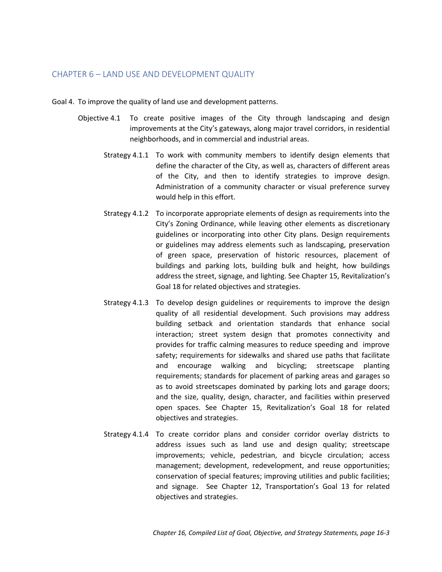# CHAPTER 6 – LAND USE AND DEVELOPMENT QUALITY

- Goal 4. To improve the quality of land use and development patterns.
	- Objective 4.1 To create positive images of the City through landscaping and design improvements at the City's gateways, along major travel corridors, in residential neighborhoods, and in commercial and industrial areas.
		- Strategy 4.1.1 To work with community members to identify design elements that define the character of the City, as well as, characters of different areas of the City, and then to identify strategies to improve design. Administration of a community character or visual preference survey would help in this effort.
		- Strategy 4.1.2 To incorporate appropriate elements of design as requirements into the City's Zoning Ordinance, while leaving other elements as discretionary guidelines or incorporating into other City plans. Design requirements or guidelines may address elements such as landscaping, preservation of green space, preservation of historic resources, placement of buildings and parking lots, building bulk and height, how buildings address the street, signage, and lighting. See Chapter 15, Revitalization's Goal 18 for related objectives and strategies.
		- Strategy 4.1.3 To develop design guidelines or requirements to improve the design quality of all residential development. Such provisions may address building setback and orientation standards that enhance social interaction; street system design that promotes connectivity and provides for traffic calming measures to reduce speeding and improve safety; requirements for sidewalks and shared use paths that facilitate and encourage walking and bicycling; streetscape planting requirements; standards for placement of parking areas and garages so as to avoid streetscapes dominated by parking lots and garage doors; and the size, quality, design, character, and facilities within preserved open spaces. See Chapter 15, Revitalization's Goal 18 for related objectives and strategies.
		- Strategy 4.1.4 To create corridor plans and consider corridor overlay districts to address issues such as land use and design quality; streetscape improvements; vehicle, pedestrian, and bicycle circulation; access management; development, redevelopment, and reuse opportunities; conservation of special features; improving utilities and public facilities; and signage. See Chapter 12, Transportation's Goal 13 for related objectives and strategies.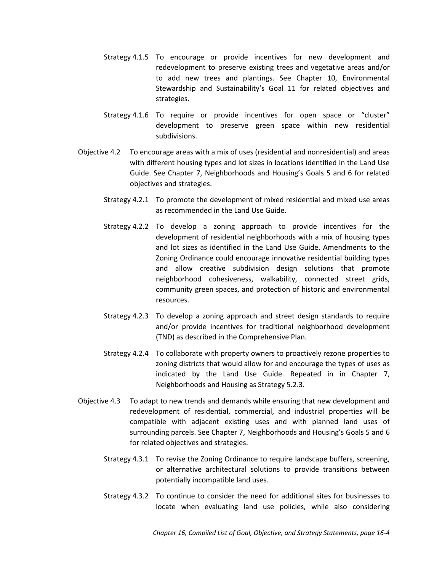- Strategy 4.1.5 To encourage or provide incentives for new development and redevelopment to preserve existing trees and vegetative areas and/or to add new trees and plantings. See Chapter 10, Environmental Stewardship and Sustainability's Goal 11 for related objectives and strategies.
- Strategy 4.1.6 To require or provide incentives for open space or "cluster" development to preserve green space within new residential subdivisions.
- Objective 4.2 To encourage areas with a mix of uses (residential and nonresidential) and areas with different housing types and lot sizes in locations identified in the Land Use Guide. See Chapter 7, Neighborhoods and Housing's Goals 5 and 6 for related objectives and strategies.
	- Strategy 4.2.1 To promote the development of mixed residential and mixed use areas as recommended in the Land Use Guide.
	- Strategy 4.2.2 To develop a zoning approach to provide incentives for the development of residential neighborhoods with a mix of housing types and lot sizes as identified in the Land Use Guide. Amendments to the Zoning Ordinance could encourage innovative residential building types and allow creative subdivision design solutions that promote neighborhood cohesiveness, walkability, connected street grids, community green spaces, and protection of historic and environmental resources.
	- Strategy 4.2.3 To develop a zoning approach and street design standards to require and/or provide incentives for traditional neighborhood development (TND) as described in the Comprehensive Plan.
	- Strategy 4.2.4 To collaborate with property owners to proactively rezone properties to zoning districts that would allow for and encourage the types of uses as indicated by the Land Use Guide. Repeated in in Chapter 7, Neighborhoods and Housing as Strategy 5.2.3.
- Objective 4.3 To adapt to new trends and demands while ensuring that new development and redevelopment of residential, commercial, and industrial properties will be compatible with adjacent existing uses and with planned land uses of surrounding parcels. See Chapter 7, Neighborhoods and Housing's Goals 5 and 6 for related objectives and strategies.
	- Strategy 4.3.1 To revise the Zoning Ordinance to require landscape buffers, screening, or alternative architectural solutions to provide transitions between potentially incompatible land uses.
	- Strategy 4.3.2 To continue to consider the need for additional sites for businesses to locate when evaluating land use policies, while also considering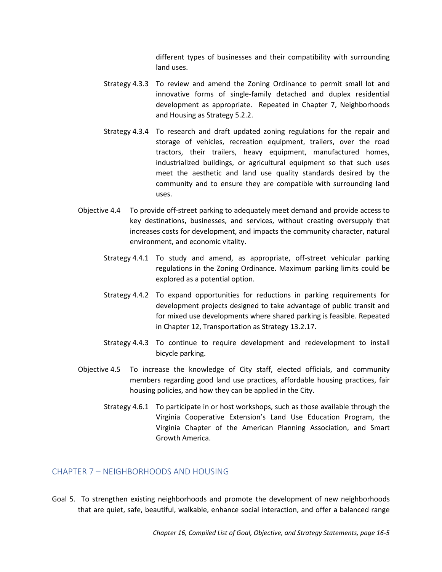different types of businesses and their compatibility with surrounding land uses.

- Strategy 4.3.3 To review and amend the Zoning Ordinance to permit small lot and innovative forms of single-family detached and duplex residential development as appropriate. Repeated in Chapter 7, Neighborhoods and Housing as Strategy 5.2.2.
- Strategy 4.3.4 To research and draft updated zoning regulations for the repair and storage of vehicles, recreation equipment, trailers, over the road tractors, their trailers, heavy equipment, manufactured homes, industrialized buildings, or agricultural equipment so that such uses meet the aesthetic and land use quality standards desired by the community and to ensure they are compatible with surrounding land uses.
- Objective 4.4 To provide off-street parking to adequately meet demand and provide access to key destinations, businesses, and services, without creating oversupply that increases costs for development, and impacts the community character, natural environment, and economic vitality.
	- Strategy 4.4.1 To study and amend, as appropriate, off-street vehicular parking regulations in the Zoning Ordinance. Maximum parking limits could be explored as a potential option.
	- Strategy 4.4.2 To expand opportunities for reductions in parking requirements for development projects designed to take advantage of public transit and for mixed use developments where shared parking is feasible. Repeated in Chapter 12, Transportation as Strategy 13.2.17.
	- Strategy 4.4.3 To continue to require development and redevelopment to install bicycle parking.
- Objective 4.5 To increase the knowledge of City staff, elected officials, and community members regarding good land use practices, affordable housing practices, fair housing policies, and how they can be applied in the City.
	- Strategy 4.6.1 To participate in or host workshops, such as those available through the Virginia Cooperative Extension's Land Use Education Program, the Virginia Chapter of the American Planning Association, and Smart Growth America.

#### CHAPTER 7 – NEIGHBORHOODS AND HOUSING

Goal 5. To strengthen existing neighborhoods and promote the development of new neighborhoods that are quiet, safe, beautiful, walkable, enhance social interaction, and offer a balanced range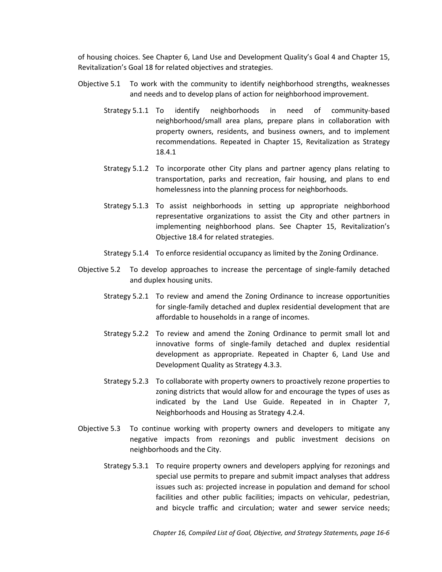of housing choices. See Chapter 6, Land Use and Development Quality's Goal 4 and Chapter 15, Revitalization's Goal 18 for related objectives and strategies.

- Objective 5.1 To work with the community to identify neighborhood strengths, weaknesses and needs and to develop plans of action for neighborhood improvement.
	- Strategy 5.1.1 To identify neighborhoods in need of community-based neighborhood/small area plans, prepare plans in collaboration with property owners, residents, and business owners, and to implement recommendations. Repeated in Chapter 15, Revitalization as Strategy 18.4.1
	- Strategy 5.1.2 To incorporate other City plans and partner agency plans relating to transportation, parks and recreation, fair housing, and plans to end homelessness into the planning process for neighborhoods.
	- Strategy 5.1.3 To assist neighborhoods in setting up appropriate neighborhood representative organizations to assist the City and other partners in implementing neighborhood plans. See Chapter 15, Revitalization's Objective 18.4 for related strategies.
	- Strategy 5.1.4 To enforce residential occupancy as limited by the Zoning Ordinance.
- Objective 5.2 To develop approaches to increase the percentage of single-family detached and duplex housing units.
	- Strategy 5.2.1 To review and amend the Zoning Ordinance to increase opportunities for single-family detached and duplex residential development that are affordable to households in a range of incomes.
	- Strategy 5.2.2 To review and amend the Zoning Ordinance to permit small lot and innovative forms of single-family detached and duplex residential development as appropriate. Repeated in Chapter 6, Land Use and Development Quality as Strategy 4.3.3.
	- Strategy 5.2.3 To collaborate with property owners to proactively rezone properties to zoning districts that would allow for and encourage the types of uses as indicated by the Land Use Guide. Repeated in in Chapter 7, Neighborhoods and Housing as Strategy 4.2.4.
- Objective 5.3 To continue working with property owners and developers to mitigate any negative impacts from rezonings and public investment decisions on neighborhoods and the City.
	- Strategy 5.3.1 To require property owners and developers applying for rezonings and special use permits to prepare and submit impact analyses that address issues such as: projected increase in population and demand for school facilities and other public facilities; impacts on vehicular, pedestrian, and bicycle traffic and circulation; water and sewer service needs;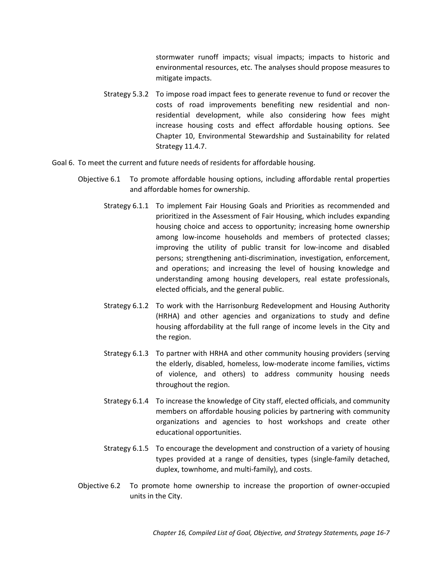stormwater runoff impacts; visual impacts; impacts to historic and environmental resources, etc. The analyses should propose measures to mitigate impacts.

- Strategy 5.3.2 To impose road impact fees to generate revenue to fund or recover the costs of road improvements benefiting new residential and nonresidential development, while also considering how fees might increase housing costs and effect affordable housing options. See Chapter 10, Environmental Stewardship and Sustainability for related Strategy 11.4.7.
- Goal 6. To meet the current and future needs of residents for affordable housing.
	- Objective 6.1 To promote affordable housing options, including affordable rental properties and affordable homes for ownership.
		- Strategy 6.1.1 To implement Fair Housing Goals and Priorities as recommended and prioritized in the Assessment of Fair Housing, which includes expanding housing choice and access to opportunity; increasing home ownership among low-income households and members of protected classes; improving the utility of public transit for low-income and disabled persons; strengthening anti-discrimination, investigation, enforcement, and operations; and increasing the level of housing knowledge and understanding among housing developers, real estate professionals, elected officials, and the general public.
		- Strategy 6.1.2 To work with the Harrisonburg Redevelopment and Housing Authority (HRHA) and other agencies and organizations to study and define housing affordability at the full range of income levels in the City and the region.
		- Strategy 6.1.3 To partner with HRHA and other community housing providers (serving the elderly, disabled, homeless, low-moderate income families, victims of violence, and others) to address community housing needs throughout the region.
		- Strategy 6.1.4 To increase the knowledge of City staff, elected officials, and community members on affordable housing policies by partnering with community organizations and agencies to host workshops and create other educational opportunities.
		- Strategy 6.1.5 To encourage the development and construction of a variety of housing types provided at a range of densities, types (single-family detached, duplex, townhome, and multi-family), and costs.
	- Objective 6.2 To promote home ownership to increase the proportion of owner-occupied units in the City.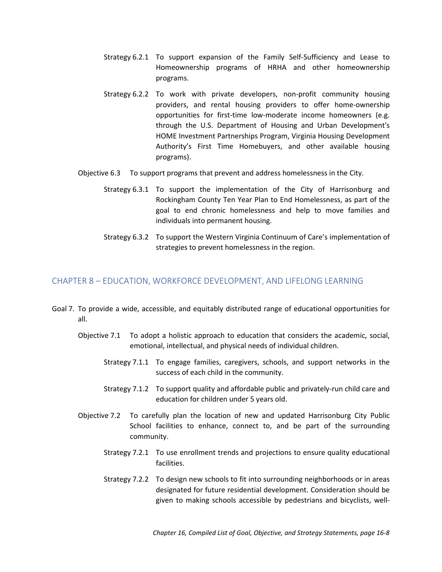- Strategy 6.2.1 To support expansion of the Family Self-Sufficiency and Lease to Homeownership programs of HRHA and other homeownership programs.
- Strategy 6.2.2 To work with private developers, non-profit community housing providers, and rental housing providers to offer home-ownership opportunities for first-time low-moderate income homeowners (e.g. through the U.S. Department of Housing and Urban Development's HOME Investment Partnerships Program, Virginia Housing Development Authority's First Time Homebuyers, and other available housing programs).
- Objective 6.3 To support programs that prevent and address homelessness in the City.
	- Strategy 6.3.1 To support the implementation of the City of Harrisonburg and Rockingham County Ten Year Plan to End Homelessness, as part of the goal to end chronic homelessness and help to move families and individuals into permanent housing.
	- Strategy 6.3.2 To support the Western Virginia Continuum of Care's implementation of strategies to prevent homelessness in the region.

# CHAPTER 8 – EDUCATION, WORKFORCE DEVELOPMENT, AND LIFELONG LEARNING

- Goal 7. To provide a wide, accessible, and equitably distributed range of educational opportunities for all.
	- Objective 7.1 To adopt a holistic approach to education that considers the academic, social, emotional, intellectual, and physical needs of individual children.
		- Strategy 7.1.1 To engage families, caregivers, schools, and support networks in the success of each child in the community.
		- Strategy 7.1.2 To support quality and affordable public and privately-run child care and education for children under 5 years old.
	- Objective 7.2 To carefully plan the location of new and updated Harrisonburg City Public School facilities to enhance, connect to, and be part of the surrounding community.
		- Strategy 7.2.1 To use enrollment trends and projections to ensure quality educational facilities.
		- Strategy 7.2.2 To design new schools to fit into surrounding neighborhoods or in areas designated for future residential development. Consideration should be given to making schools accessible by pedestrians and bicyclists, well-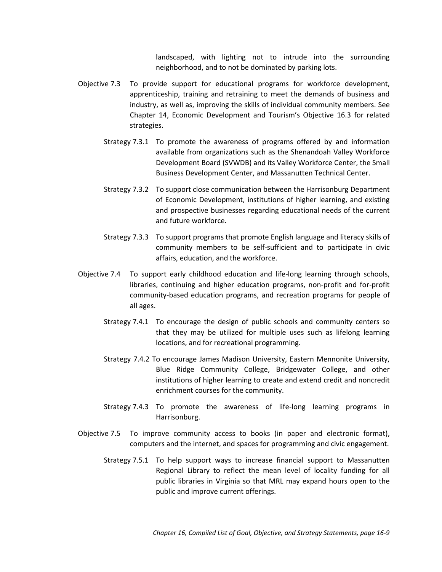landscaped, with lighting not to intrude into the surrounding neighborhood, and to not be dominated by parking lots.

- Objective 7.3 To provide support for educational programs for workforce development, apprenticeship, training and retraining to meet the demands of business and industry, as well as, improving the skills of individual community members. See Chapter 14, Economic Development and Tourism's Objective 16.3 for related strategies.
	- Strategy 7.3.1 To promote the awareness of programs offered by and information available from organizations such as the Shenandoah Valley Workforce Development Board (SVWDB) and its Valley Workforce Center, the Small Business Development Center, and Massanutten Technical Center.
	- Strategy 7.3.2 To support close communication between the Harrisonburg Department of Economic Development, institutions of higher learning, and existing and prospective businesses regarding educational needs of the current and future workforce.
	- Strategy 7.3.3 To support programs that promote English language and literacy skills of community members to be self-sufficient and to participate in civic affairs, education, and the workforce.
- Objective 7.4 To support early childhood education and life-long learning through schools, libraries, continuing and higher education programs, non-profit and for-profit community-based education programs, and recreation programs for people of all ages.
	- Strategy 7.4.1 To encourage the design of public schools and community centers so that they may be utilized for multiple uses such as lifelong learning locations, and for recreational programming.
	- Strategy 7.4.2 To encourage James Madison University, Eastern Mennonite University, Blue Ridge Community College, Bridgewater College, and other institutions of higher learning to create and extend credit and noncredit enrichment courses for the community.
	- Strategy 7.4.3 To promote the awareness of life-long learning programs in Harrisonburg.
- Objective 7.5 To improve community access to books (in paper and electronic format), computers and the internet, and spaces for programming and civic engagement.
	- Strategy 7.5.1 To help support ways to increase financial support to Massanutten Regional Library to reflect the mean level of locality funding for all public libraries in Virginia so that MRL may expand hours open to the public and improve current offerings.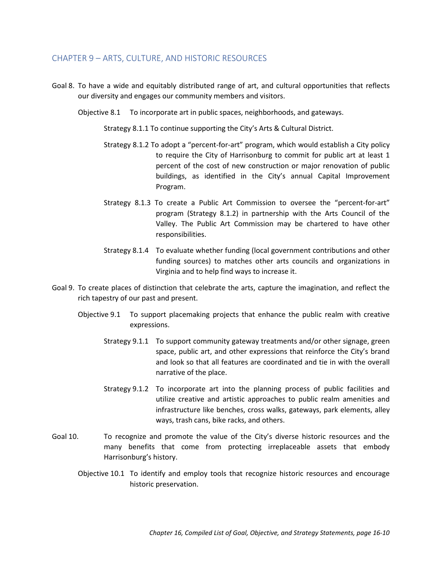# CHAPTER 9 – ARTS, CULTURE, AND HISTORIC RESOURCES

- Goal 8. To have a wide and equitably distributed range of art, and cultural opportunities that reflects our diversity and engages our community members and visitors.
	- Objective 8.1 To incorporate art in public spaces, neighborhoods, and gateways.

Strategy 8.1.1 To continue supporting the City's Arts & Cultural District.

- Strategy 8.1.2 To adopt a "percent-for-art" program, which would establish a City policy to require the City of Harrisonburg to commit for public art at least 1 percent of the cost of new construction or major renovation of public buildings, as identified in the City's annual Capital Improvement Program.
- Strategy 8.1.3 To create a Public Art Commission to oversee the "percent-for-art" program (Strategy 8.1.2) in partnership with the Arts Council of the Valley. The Public Art Commission may be chartered to have other responsibilities.
- Strategy 8.1.4 To evaluate whether funding (local government contributions and other funding sources) to matches other arts councils and organizations in Virginia and to help find ways to increase it.
- Goal 9. To create places of distinction that celebrate the arts, capture the imagination, and reflect the rich tapestry of our past and present.
	- Objective 9.1 To support placemaking projects that enhance the public realm with creative expressions.
		- Strategy 9.1.1 To support community gateway treatments and/or other signage, green space, public art, and other expressions that reinforce the City's brand and look so that all features are coordinated and tie in with the overall narrative of the place.
		- Strategy 9.1.2 To incorporate art into the planning process of public facilities and utilize creative and artistic approaches to public realm amenities and infrastructure like benches, cross walks, gateways, park elements, alley ways, trash cans, bike racks, and others.
- Goal 10. To recognize and promote the value of the City's diverse historic resources and the many benefits that come from protecting irreplaceable assets that embody Harrisonburg's history.
	- Objective 10.1 To identify and employ tools that recognize historic resources and encourage historic preservation.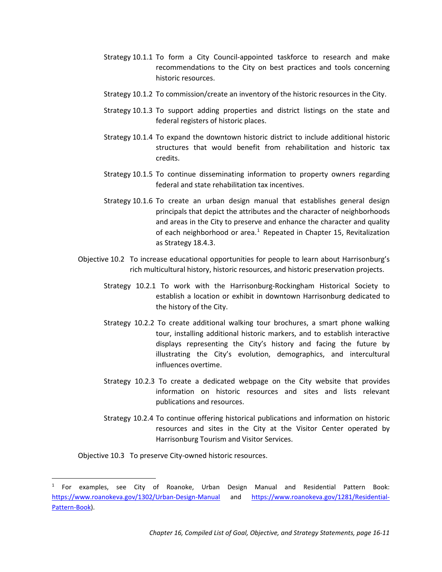- Strategy 10.1.1 To form a City Council-appointed taskforce to research and make recommendations to the City on best practices and tools concerning historic resources.
- Strategy 10.1.2 To commission/create an inventory of the historic resources in the City.
- Strategy 10.1.3 To support adding properties and district listings on the state and federal registers of historic places.
- Strategy 10.1.4 To expand the downtown historic district to include additional historic structures that would benefit from rehabilitation and historic tax credits.
- Strategy 10.1.5 To continue disseminating information to property owners regarding federal and state rehabilitation tax incentives.
- Strategy 10.1.6 To create an urban design manual that establishes general design principals that depict the attributes and the character of neighborhoods and areas in the City to preserve and enhance the character and quality of each neighborhood or area. $1$  Repeated in Chapter 15, Revitalization as Strategy 18.4.3.
- Objective 10.2 To increase educational opportunities for people to learn about Harrisonburg's rich multicultural history, historic resources, and historic preservation projects.
	- Strategy 10.2.1 To work with the Harrisonburg-Rockingham Historical Society to establish a location or exhibit in downtown Harrisonburg dedicated to the history of the City.
	- Strategy 10.2.2 To create additional walking tour brochures, a smart phone walking tour, installing additional historic markers, and to establish interactive displays representing the City's history and facing the future by illustrating the City's evolution, demographics, and intercultural influences overtime.
	- Strategy 10.2.3 To create a dedicated webpage on the City website that provides information on historic resources and sites and lists relevant publications and resources.
	- Strategy 10.2.4 To continue offering historical publications and information on historic resources and sites in the City at the Visitor Center operated by Harrisonburg Tourism and Visitor Services.

Objective 10.3 To preserve City-owned historic resources.

<span id="page-11-0"></span> $<sup>1</sup>$  For examples, see City of Roanoke, Urban Design Manual and Residential Pattern Book:</sup> <https://www.roanokeva.gov/1302/Urban-Design-Manual> and [https://www.roanokeva.gov/1281/Residential-](https://www.roanokeva.gov/1281/Residential-Pattern-Book)[Pattern-Book\)](https://www.roanokeva.gov/1281/Residential-Pattern-Book).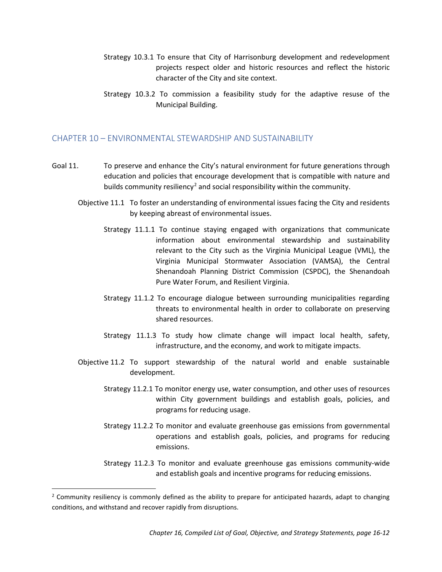- Strategy 10.3.1 To ensure that City of Harrisonburg development and redevelopment projects respect older and historic resources and reflect the historic character of the City and site context.
- Strategy 10.3.2 To commission a feasibility study for the adaptive resuse of the Municipal Building.

# CHAPTER 10 – ENVIRONMENTAL STEWARDSHIP AND SUSTAINABILITY

- Goal 11. To preserve and enhance the City's natural environment for future generations through education and policies that encourage development that is compatible with nature and builds community resiliency<sup>[2](#page-12-0)</sup> and social responsibility within the community.
	- Objective 11.1 To foster an understanding of environmental issues facing the City and residents by keeping abreast of environmental issues.
		- Strategy 11.1.1 To continue staying engaged with organizations that communicate information about environmental stewardship and sustainability relevant to the City such as the Virginia Municipal League (VML), the Virginia Municipal Stormwater Association (VAMSA), the Central Shenandoah Planning District Commission (CSPDC), the Shenandoah Pure Water Forum, and Resilient Virginia.
		- Strategy 11.1.2 To encourage dialogue between surrounding municipalities regarding threats to environmental health in order to collaborate on preserving shared resources.
		- Strategy 11.1.3 To study how climate change will impact local health, safety, infrastructure, and the economy, and work to mitigate impacts.
	- Objective 11.2 To support stewardship of the natural world and enable sustainable development.
		- Strategy 11.2.1 To monitor energy use, water consumption, and other uses of resources within City government buildings and establish goals, policies, and programs for reducing usage.
		- Strategy 11.2.2 To monitor and evaluate greenhouse gas emissions from governmental operations and establish goals, policies, and programs for reducing emissions.
		- Strategy 11.2.3 To monitor and evaluate greenhouse gas emissions community-wide and establish goals and incentive programs for reducing emissions.

<span id="page-12-0"></span> $2$  Community resiliency is commonly defined as the ability to prepare for anticipated hazards, adapt to changing conditions, and withstand and recover rapidly from disruptions.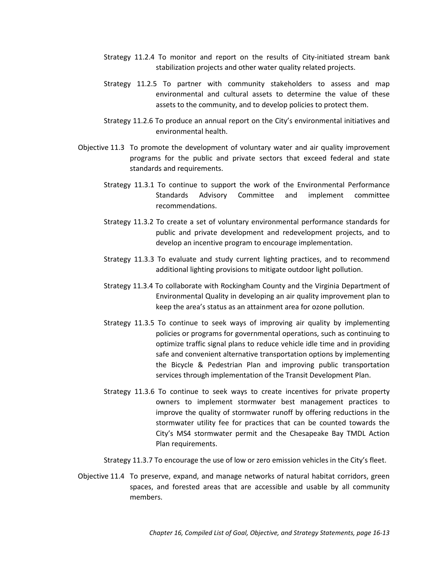- Strategy 11.2.4 To monitor and report on the results of City-initiated stream bank stabilization projects and other water quality related projects.
- Strategy 11.2.5 To partner with community stakeholders to assess and map environmental and cultural assets to determine the value of these assets to the community, and to develop policies to protect them.
- Strategy 11.2.6 To produce an annual report on the City's environmental initiatives and environmental health.
- Objective 11.3 To promote the development of voluntary water and air quality improvement programs for the public and private sectors that exceed federal and state standards and requirements.
	- Strategy 11.3.1 To continue to support the work of the Environmental Performance Standards Advisory Committee and implement committee recommendations.
	- Strategy 11.3.2 To create a set of voluntary environmental performance standards for public and private development and redevelopment projects, and to develop an incentive program to encourage implementation.
	- Strategy 11.3.3 To evaluate and study current lighting practices, and to recommend additional lighting provisions to mitigate outdoor light pollution.
	- Strategy 11.3.4 To collaborate with Rockingham County and the Virginia Department of Environmental Quality in developing an air quality improvement plan to keep the area's status as an attainment area for ozone pollution.
	- Strategy 11.3.5 To continue to seek ways of improving air quality by implementing policies or programs for governmental operations, such as continuing to optimize traffic signal plans to reduce vehicle idle time and in providing safe and convenient alternative transportation options by implementing the Bicycle & Pedestrian Plan and improving public transportation services through implementation of the Transit Development Plan.
	- Strategy 11.3.6 To continue to seek ways to create incentives for private property owners to implement stormwater best management practices to improve the quality of stormwater runoff by offering reductions in the stormwater utility fee for practices that can be counted towards the City's MS4 stormwater permit and the Chesapeake Bay TMDL Action Plan requirements.
	- Strategy 11.3.7 To encourage the use of low or zero emission vehicles in the City's fleet.
- Objective 11.4 To preserve, expand, and manage networks of natural habitat corridors, green spaces, and forested areas that are accessible and usable by all community members.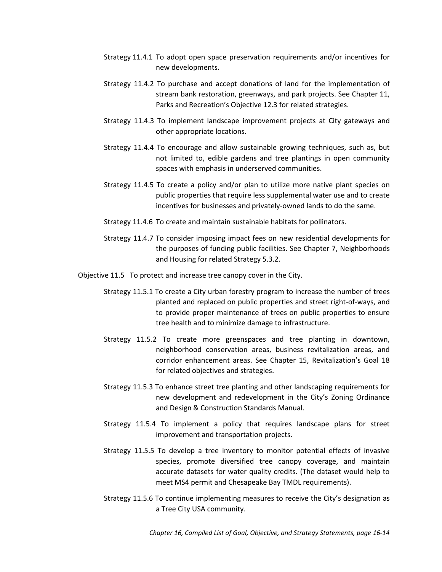- Strategy 11.4.1 To adopt open space preservation requirements and/or incentives for new developments.
- Strategy 11.4.2 To purchase and accept donations of land for the implementation of stream bank restoration, greenways, and park projects. See Chapter 11, Parks and Recreation's Objective 12.3 for related strategies.
- Strategy 11.4.3 To implement landscape improvement projects at City gateways and other appropriate locations.
- Strategy 11.4.4 To encourage and allow sustainable growing techniques, such as, but not limited to, edible gardens and tree plantings in open community spaces with emphasis in underserved communities.
- Strategy 11.4.5 To create a policy and/or plan to utilize more native plant species on public properties that require less supplemental water use and to create incentives for businesses and privately-owned lands to do the same.
- Strategy 11.4.6 To create and maintain sustainable habitats for pollinators.
- Strategy 11.4.7 To consider imposing impact fees on new residential developments for the purposes of funding public facilities. See Chapter 7, Neighborhoods and Housing for related Strategy 5.3.2.
- Objective 11.5 To protect and increase tree canopy cover in the City.
	- Strategy 11.5.1 To create a City urban forestry program to increase the number of trees planted and replaced on public properties and street right-of-ways, and to provide proper maintenance of trees on public properties to ensure tree health and to minimize damage to infrastructure.
	- Strategy 11.5.2 To create more greenspaces and tree planting in downtown, neighborhood conservation areas, business revitalization areas, and corridor enhancement areas. See Chapter 15, Revitalization's Goal 18 for related objectives and strategies.
	- Strategy 11.5.3 To enhance street tree planting and other landscaping requirements for new development and redevelopment in the City's Zoning Ordinance and Design & Construction Standards Manual.
	- Strategy 11.5.4 To implement a policy that requires landscape plans for street improvement and transportation projects.
	- Strategy 11.5.5 To develop a tree inventory to monitor potential effects of invasive species, promote diversified tree canopy coverage, and maintain accurate datasets for water quality credits. (The dataset would help to meet MS4 permit and Chesapeake Bay TMDL requirements).
	- Strategy 11.5.6 To continue implementing measures to receive the City's designation as a Tree City USA community.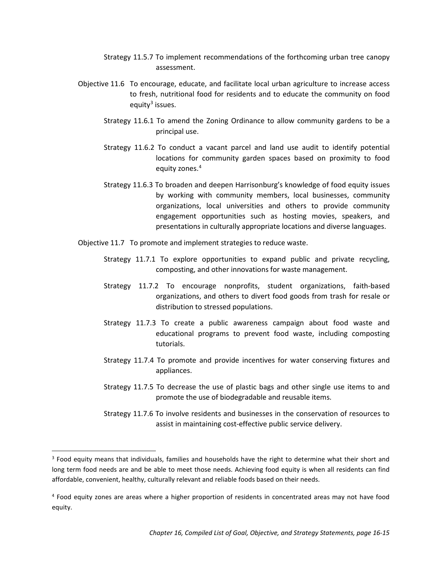- Strategy 11.5.7 To implement recommendations of the forthcoming urban tree canopy assessment.
- Objective 11.6 To encourage, educate, and facilitate local urban agriculture to increase access to fresh, nutritional food for residents and to educate the community on food equity<sup>[3](#page-15-0)</sup> issues.
	- Strategy 11.6.1 To amend the Zoning Ordinance to allow community gardens to be a principal use.
	- Strategy 11.6.2 To conduct a vacant parcel and land use audit to identify potential locations for community garden spaces based on proximity to food equity zones.<sup>[4](#page-15-1)</sup>
	- Strategy 11.6.3 To broaden and deepen Harrisonburg's knowledge of food equity issues by working with community members, local businesses, community organizations, local universities and others to provide community engagement opportunities such as hosting movies, speakers, and presentations in culturally appropriate locations and diverse languages.
- Objective 11.7 To promote and implement strategies to reduce waste.
	- Strategy 11.7.1 To explore opportunities to expand public and private recycling, composting, and other innovations for waste management.
	- Strategy 11.7.2 To encourage nonprofits, student organizations, faith-based organizations, and others to divert food goods from trash for resale or distribution to stressed populations.
	- Strategy 11.7.3 To create a public awareness campaign about food waste and educational programs to prevent food waste, including composting tutorials.
	- Strategy 11.7.4 To promote and provide incentives for water conserving fixtures and appliances.
	- Strategy 11.7.5 To decrease the use of plastic bags and other single use items to and promote the use of biodegradable and reusable items.
	- Strategy 11.7.6 To involve residents and businesses in the conservation of resources to assist in maintaining cost-effective public service delivery.

<span id="page-15-0"></span><sup>&</sup>lt;sup>3</sup> Food equity means that individuals, families and households have the right to determine what their short and long term food needs are and be able to meet those needs. Achieving food equity is when all residents can find affordable, convenient, healthy, culturally relevant and reliable foods based on their needs.

<span id="page-15-1"></span><sup>4</sup> Food equity zones are areas where a higher proportion of residents in concentrated areas may not have food equity.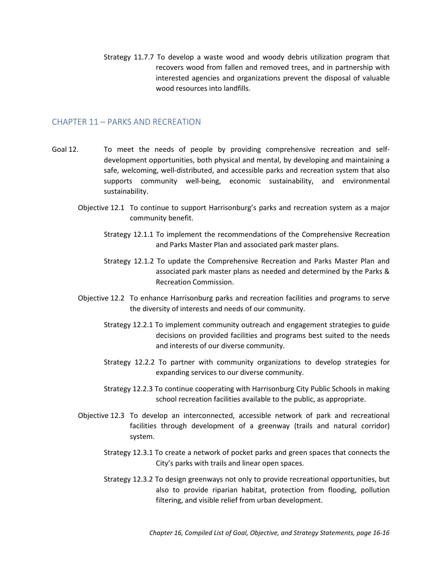Strategy 11.7.7 To develop a waste wood and woody debris utilization program that recovers wood from fallen and removed trees, and in partnership with interested agencies and organizations prevent the disposal of valuable wood resources into landfills.

#### CHAPTER 11 – PARKS AND RECREATION

- Goal 12. To meet the needs of people by providing comprehensive recreation and selfdevelopment opportunities, both physical and mental, by developing and maintaining a safe, welcoming, well-distributed, and accessible parks and recreation system that also supports community well-being, economic sustainability, and environmental sustainability.
	- Objective 12.1 To continue to support Harrisonburg's parks and recreation system as a major community benefit.
		- Strategy 12.1.1 To implement the recommendations of the Comprehensive Recreation and Parks Master Plan and associated park master plans.
		- Strategy 12.1.2 To update the Comprehensive Recreation and Parks Master Plan and associated park master plans as needed and determined by the Parks & Recreation Commission.
	- Objective 12.2 To enhance Harrisonburg parks and recreation facilities and programs to serve the diversity of interests and needs of our community.
		- Strategy 12.2.1 To implement community outreach and engagement strategies to guide decisions on provided facilities and programs best suited to the needs and interests of our diverse community.
		- Strategy 12.2.2 To partner with community organizations to develop strategies for expanding services to our diverse community.
		- Strategy 12.2.3 To continue cooperating with Harrisonburg City Public Schools in making school recreation facilities available to the public, as appropriate.
	- Objective 12.3 To develop an interconnected, accessible network of park and recreational facilities through development of a greenway (trails and natural corridor) system.
		- Strategy 12.3.1 To create a network of pocket parks and green spaces that connects the City's parks with trails and linear open spaces.
		- Strategy 12.3.2 To design greenways not only to provide recreational opportunities, but also to provide riparian habitat, protection from flooding, pollution filtering, and visible relief from urban development.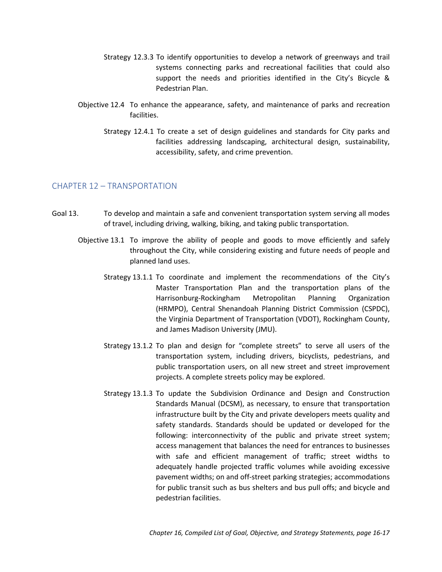- Strategy 12.3.3 To identify opportunities to develop a network of greenways and trail systems connecting parks and recreational facilities that could also support the needs and priorities identified in the City's Bicycle & Pedestrian Plan.
- Objective 12.4 To enhance the appearance, safety, and maintenance of parks and recreation facilities.
	- Strategy 12.4.1 To create a set of design guidelines and standards for City parks and facilities addressing landscaping, architectural design, sustainability, accessibility, safety, and crime prevention.

# CHAPTER 12 – TRANSPORTATION

- Goal 13. To develop and maintain a safe and convenient transportation system serving all modes of travel, including driving, walking, biking, and taking public transportation.
	- Objective 13.1 To improve the ability of people and goods to move efficiently and safely throughout the City, while considering existing and future needs of people and planned land uses.
		- Strategy 13.1.1 To coordinate and implement the recommendations of the City's Master Transportation Plan and the transportation plans of the Harrisonburg-Rockingham Metropolitan Planning Organization (HRMPO), Central Shenandoah Planning District Commission (CSPDC), the Virginia Department of Transportation (VDOT), Rockingham County, and James Madison University (JMU).
		- Strategy 13.1.2 To plan and design for "complete streets" to serve all users of the transportation system, including drivers, bicyclists, pedestrians, and public transportation users, on all new street and street improvement projects. A complete streets policy may be explored.
		- Strategy 13.1.3 To update the Subdivision Ordinance and Design and Construction Standards Manual (DCSM), as necessary, to ensure that transportation infrastructure built by the City and private developers meets quality and safety standards. Standards should be updated or developed for the following: interconnectivity of the public and private street system; access management that balances the need for entrances to businesses with safe and efficient management of traffic; street widths to adequately handle projected traffic volumes while avoiding excessive pavement widths; on and off-street parking strategies; accommodations for public transit such as bus shelters and bus pull offs; and bicycle and pedestrian facilities.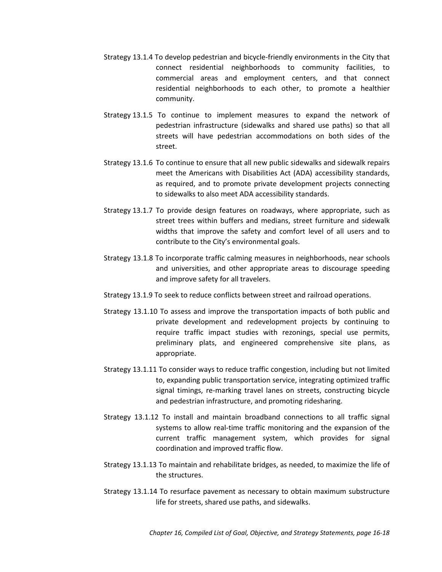- Strategy 13.1.4 To develop pedestrian and bicycle-friendly environments in the City that connect residential neighborhoods to community facilities, to commercial areas and employment centers, and that connect residential neighborhoods to each other, to promote a healthier community.
- Strategy 13.1.5 To continue to implement measures to expand the network of pedestrian infrastructure (sidewalks and shared use paths) so that all streets will have pedestrian accommodations on both sides of the street.
- Strategy 13.1.6 To continue to ensure that all new public sidewalks and sidewalk repairs meet the Americans with Disabilities Act (ADA) accessibility standards, as required, and to promote private development projects connecting to sidewalks to also meet ADA accessibility standards.
- Strategy 13.1.7 To provide design features on roadways, where appropriate, such as street trees within buffers and medians, street furniture and sidewalk widths that improve the safety and comfort level of all users and to contribute to the City's environmental goals.
- Strategy 13.1.8 To incorporate traffic calming measures in neighborhoods, near schools and universities, and other appropriate areas to discourage speeding and improve safety for all travelers.
- Strategy 13.1.9 To seek to reduce conflicts between street and railroad operations.
- Strategy 13.1.10 To assess and improve the transportation impacts of both public and private development and redevelopment projects by continuing to require traffic impact studies with rezonings, special use permits, preliminary plats, and engineered comprehensive site plans, as appropriate.
- Strategy 13.1.11 To consider ways to reduce traffic congestion, including but not limited to, expanding public transportation service, integrating optimized traffic signal timings, re-marking travel lanes on streets, constructing bicycle and pedestrian infrastructure, and promoting ridesharing.
- Strategy 13.1.12 To install and maintain broadband connections to all traffic signal systems to allow real-time traffic monitoring and the expansion of the current traffic management system, which provides for signal coordination and improved traffic flow.
- Strategy 13.1.13 To maintain and rehabilitate bridges, as needed, to maximize the life of the structures.
- Strategy 13.1.14 To resurface pavement as necessary to obtain maximum substructure life for streets, shared use paths, and sidewalks.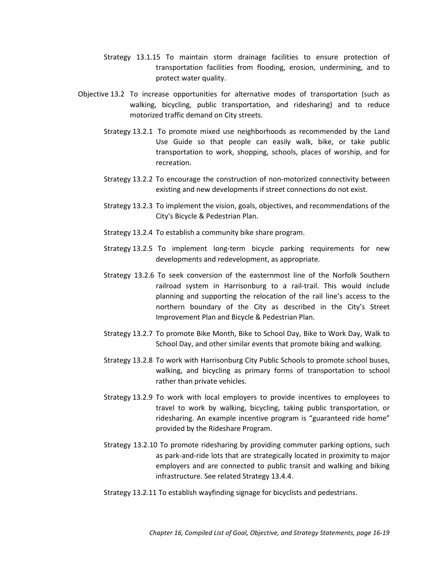- Strategy 13.1.15 To maintain storm drainage facilities to ensure protection of transportation facilities from flooding, erosion, undermining, and to protect water quality.
- Objective 13.2 To increase opportunities for alternative modes of transportation (such as walking, bicycling, public transportation, and ridesharing) and to reduce motorized traffic demand on City streets.
	- Strategy 13.2.1 To promote mixed use neighborhoods as recommended by the Land Use Guide so that people can easily walk, bike, or take public transportation to work, shopping, schools, places of worship, and for recreation.
	- Strategy 13.2.2 To encourage the construction of non-motorized connectivity between existing and new developments if street connections do not exist.
	- Strategy 13.2.3 To implement the vision, goals, objectives, and recommendations of the City's Bicycle & Pedestrian Plan.
	- Strategy 13.2.4 To establish a community bike share program.
	- Strategy 13.2.5 To implement long-term bicycle parking requirements for new developments and redevelopment, as appropriate.
	- Strategy 13.2.6 To seek conversion of the easternmost line of the Norfolk Southern railroad system in Harrisonburg to a rail-trail. This would include planning and supporting the relocation of the rail line's access to the northern boundary of the City as described in the City's Street Improvement Plan and Bicycle & Pedestrian Plan.
	- Strategy 13.2.7 To promote Bike Month, Bike to School Day, Bike to Work Day, Walk to School Day, and other similar events that promote biking and walking.
	- Strategy 13.2.8 To work with Harrisonburg City Public Schools to promote school buses, walking, and bicycling as primary forms of transportation to school rather than private vehicles.
	- Strategy 13.2.9 To work with local employers to provide incentives to employees to travel to work by walking, bicycling, taking public transportation, or ridesharing. An example incentive program is "guaranteed ride home" provided by the Rideshare Program.
	- Strategy 13.2.10 To promote ridesharing by providing commuter parking options, such as park-and-ride lots that are strategically located in proximity to major employers and are connected to public transit and walking and biking infrastructure. See related Strategy 13.4.4.
	- Strategy 13.2.11 To establish wayfinding signage for bicyclists and pedestrians.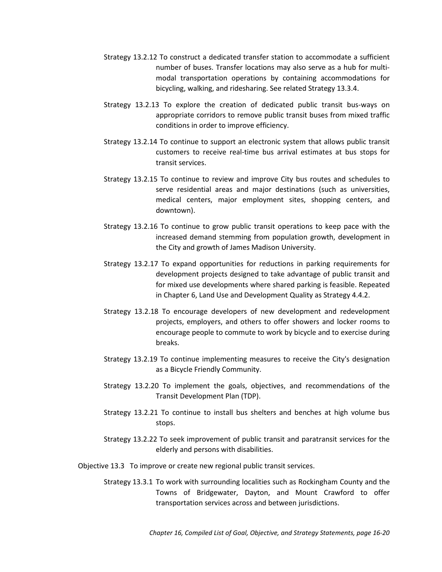- Strategy 13.2.12 To construct a dedicated transfer station to accommodate a sufficient number of buses. Transfer locations may also serve as a hub for multimodal transportation operations by containing accommodations for bicycling, walking, and ridesharing. See related Strategy 13.3.4.
- Strategy 13.2.13 To explore the creation of dedicated public transit bus-ways on appropriate corridors to remove public transit buses from mixed traffic conditions in order to improve efficiency.
- Strategy 13.2.14 To continue to support an electronic system that allows public transit customers to receive real-time bus arrival estimates at bus stops for transit services.
- Strategy 13.2.15 To continue to review and improve City bus routes and schedules to serve residential areas and major destinations (such as universities, medical centers, major employment sites, shopping centers, and downtown).
- Strategy 13.2.16 To continue to grow public transit operations to keep pace with the increased demand stemming from population growth, development in the City and growth of James Madison University.
- Strategy 13.2.17 To expand opportunities for reductions in parking requirements for development projects designed to take advantage of public transit and for mixed use developments where shared parking is feasible. Repeated in Chapter 6, Land Use and Development Quality as Strategy 4.4.2.
- Strategy 13.2.18 To encourage developers of new development and redevelopment projects, employers, and others to offer showers and locker rooms to encourage people to commute to work by bicycle and to exercise during breaks.
- Strategy 13.2.19 To continue implementing measures to receive the City's designation as a Bicycle Friendly Community.
- Strategy 13.2.20 To implement the goals, objectives, and recommendations of the Transit Development Plan (TDP).
- Strategy 13.2.21 To continue to install bus shelters and benches at high volume bus stops.
- Strategy 13.2.22 To seek improvement of public transit and paratransit services for the elderly and persons with disabilities.
- Objective 13.3 To improve or create new regional public transit services.
	- Strategy 13.3.1 To work with surrounding localities such as Rockingham County and the Towns of Bridgewater, Dayton, and Mount Crawford to offer transportation services across and between jurisdictions.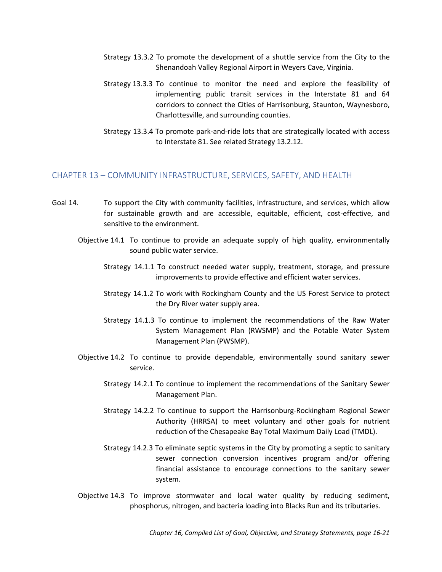- Strategy 13.3.2 To promote the development of a shuttle service from the City to the Shenandoah Valley Regional Airport in Weyers Cave, Virginia.
- Strategy 13.3.3 To continue to monitor the need and explore the feasibility of implementing public transit services in the Interstate 81 and 64 corridors to connect the Cities of Harrisonburg, Staunton, Waynesboro, Charlottesville, and surrounding counties.
- Strategy 13.3.4 To promote park-and-ride lots that are strategically located with access to Interstate 81. See related Strategy 13.2.12.

#### CHAPTER 13 – COMMUNITY INFRASTRUCTURE, SERVICES, SAFETY, AND HEALTH

- Goal 14. To support the City with community facilities, infrastructure, and services, which allow for sustainable growth and are accessible, equitable, efficient, cost-effective, and sensitive to the environment.
	- Objective 14.1 To continue to provide an adequate supply of high quality, environmentally sound public water service.
		- Strategy 14.1.1 To construct needed water supply, treatment, storage, and pressure improvements to provide effective and efficient water services.
		- Strategy 14.1.2 To work with Rockingham County and the US Forest Service to protect the Dry River water supply area.
		- Strategy 14.1.3 To continue to implement the recommendations of the Raw Water System Management Plan (RWSMP) and the Potable Water System Management Plan (PWSMP).
	- Objective 14.2 To continue to provide dependable, environmentally sound sanitary sewer service.
		- Strategy 14.2.1 To continue to implement the recommendations of the Sanitary Sewer Management Plan.
		- Strategy 14.2.2 To continue to support the Harrisonburg-Rockingham Regional Sewer Authority (HRRSA) to meet voluntary and other goals for nutrient reduction of the Chesapeake Bay Total Maximum Daily Load (TMDL).
		- Strategy 14.2.3 To eliminate septic systems in the City by promoting a septic to sanitary sewer connection conversion incentives program and/or offering financial assistance to encourage connections to the sanitary sewer system.
	- Objective 14.3 To improve stormwater and local water quality by reducing sediment, phosphorus, nitrogen, and bacteria loading into Blacks Run and its tributaries.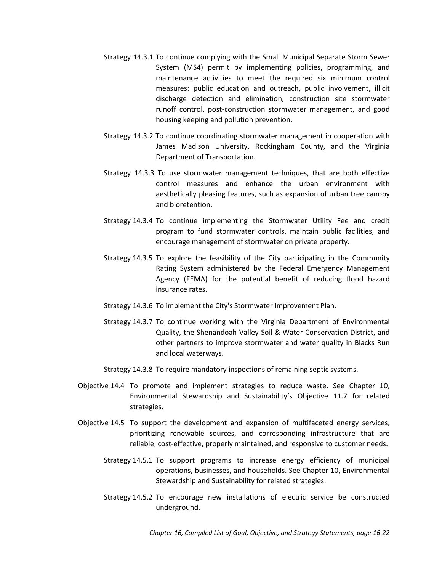- Strategy 14.3.1 To continue complying with the Small Municipal Separate Storm Sewer System (MS4) permit by implementing policies, programming, and maintenance activities to meet the required six minimum control measures: public education and outreach, public involvement, illicit discharge detection and elimination, construction site stormwater runoff control, post-construction stormwater management, and good housing keeping and pollution prevention.
- Strategy 14.3.2 To continue coordinating stormwater management in cooperation with James Madison University, Rockingham County, and the Virginia Department of Transportation.
- Strategy 14.3.3 To use stormwater management techniques, that are both effective control measures and enhance the urban environment with aesthetically pleasing features, such as expansion of urban tree canopy and bioretention.
- Strategy 14.3.4 To continue implementing the Stormwater Utility Fee and credit program to fund stormwater controls, maintain public facilities, and encourage management of stormwater on private property.
- Strategy 14.3.5 To explore the feasibility of the City participating in the Community Rating System administered by the Federal Emergency Management Agency (FEMA) for the potential benefit of reducing flood hazard insurance rates.
- Strategy 14.3.6 To implement the City's Stormwater Improvement Plan.
- Strategy 14.3.7 To continue working with the Virginia Department of Environmental Quality, the Shenandoah Valley Soil & Water Conservation District, and other partners to improve stormwater and water quality in Blacks Run and local waterways.
- Strategy 14.3.8 To require mandatory inspections of remaining septic systems.
- Objective 14.4 To promote and implement strategies to reduce waste. See Chapter 10, Environmental Stewardship and Sustainability's Objective 11.7 for related strategies.
- Objective 14.5 To support the development and expansion of multifaceted energy services, prioritizing renewable sources, and corresponding infrastructure that are reliable, cost-effective, properly maintained, and responsive to customer needs.
	- Strategy 14.5.1 To support programs to increase energy efficiency of municipal operations, businesses, and households. See Chapter 10, Environmental Stewardship and Sustainability for related strategies.
	- Strategy 14.5.2 To encourage new installations of electric service be constructed underground.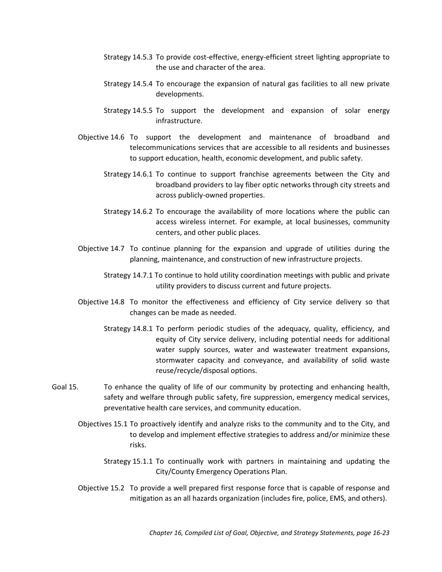- Strategy 14.5.3 To provide cost-effective, energy-efficient street lighting appropriate to the use and character of the area.
- Strategy 14.5.4 To encourage the expansion of natural gas facilities to all new private developments.
- Strategy 14.5.5 To support the development and expansion of solar energy infrastructure.
- Objective 14.6 To support the development and maintenance of broadband and telecommunications services that are accessible to all residents and businesses to support education, health, economic development, and public safety.
	- Strategy 14.6.1 To continue to support franchise agreements between the City and broadband providers to lay fiber optic networks through city streets and across publicly-owned properties.
	- Strategy 14.6.2 To encourage the availability of more locations where the public can access wireless internet. For example, at local businesses, community centers, and other public places.
- Objective 14.7 To continue planning for the expansion and upgrade of utilities during the planning, maintenance, and construction of new infrastructure projects.
	- Strategy 14.7.1 To continue to hold utility coordination meetings with public and private utility providers to discuss current and future projects.
- Objective 14.8 To monitor the effectiveness and efficiency of City service delivery so that changes can be made as needed.
	- Strategy 14.8.1 To perform periodic studies of the adequacy, quality, efficiency, and equity of City service delivery, including potential needs for additional water supply sources, water and wastewater treatment expansions, stormwater capacity and conveyance, and availability of solid waste reuse/recycle/disposal options.
- Goal 15. To enhance the quality of life of our community by protecting and enhancing health, safety and welfare through public safety, fire suppression, emergency medical services, preventative health care services, and community education.
	- Objectives 15.1 To proactively identify and analyze risks to the community and to the City, and to develop and implement effective strategies to address and/or minimize these risks.
		- Strategy 15.1.1 To continually work with partners in maintaining and updating the City/County Emergency Operations Plan.
	- Objective 15.2 To provide a well prepared first response force that is capable of response and mitigation as an all hazards organization (includes fire, police, EMS, and others).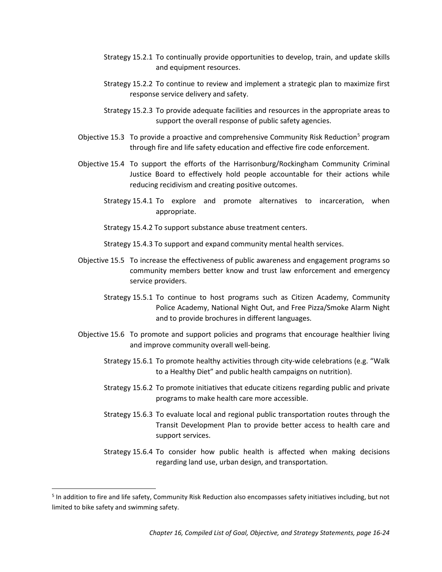- Strategy 15.2.1 To continually provide opportunities to develop, train, and update skills and equipment resources.
- Strategy 15.2.2 To continue to review and implement a strategic plan to maximize first response service delivery and safety.
- Strategy 15.2.3 To provide adequate facilities and resources in the appropriate areas to support the overall response of public safety agencies.
- Objective 1[5](#page-24-0).3 To provide a proactive and comprehensive Community Risk Reduction<sup>5</sup> program through fire and life safety education and effective fire code enforcement.
- Objective 15.4 To support the efforts of the Harrisonburg/Rockingham Community Criminal Justice Board to effectively hold people accountable for their actions while reducing recidivism and creating positive outcomes.
	- Strategy 15.4.1 To explore and promote alternatives to incarceration, when appropriate.
	- Strategy 15.4.2 To support substance abuse treatment centers.

Strategy 15.4.3 To support and expand community mental health services.

- Objective 15.5 To increase the effectiveness of public awareness and engagement programs so community members better know and trust law enforcement and emergency service providers.
	- Strategy 15.5.1 To continue to host programs such as Citizen Academy, Community Police Academy, National Night Out, and Free Pizza/Smoke Alarm Night and to provide brochures in different languages.
- Objective 15.6 To promote and support policies and programs that encourage healthier living and improve community overall well-being.
	- Strategy 15.6.1 To promote healthy activities through city-wide celebrations (e.g. "Walk to a Healthy Diet" and public health campaigns on nutrition).
	- Strategy 15.6.2 To promote initiatives that educate citizens regarding public and private programs to make health care more accessible.
	- Strategy 15.6.3 To evaluate local and regional public transportation routes through the Transit Development Plan to provide better access to health care and support services.
	- Strategy 15.6.4 To consider how public health is affected when making decisions regarding land use, urban design, and transportation.

<span id="page-24-0"></span><sup>&</sup>lt;sup>5</sup> In addition to fire and life safety, Community Risk Reduction also encompasses safety initiatives including, but not limited to bike safety and swimming safety.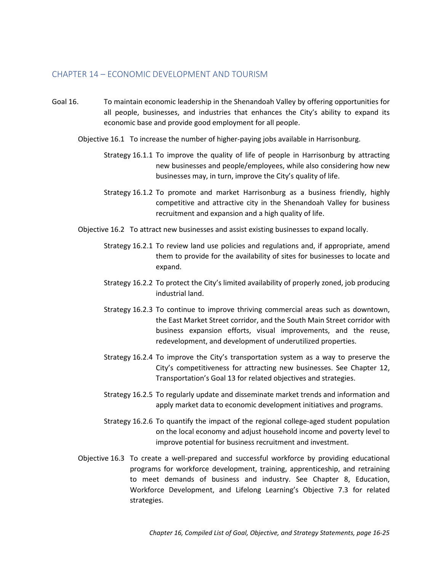#### CHAPTER 14 – ECONOMIC DEVELOPMENT AND TOURISM

- Goal 16. To maintain economic leadership in the Shenandoah Valley by offering opportunities for all people, businesses, and industries that enhances the City's ability to expand its economic base and provide good employment for all people.
	- Objective 16.1 To increase the number of higher-paying jobs available in Harrisonburg.
		- Strategy 16.1.1 To improve the quality of life of people in Harrisonburg by attracting new businesses and people/employees, while also considering how new businesses may, in turn, improve the City's quality of life.
		- Strategy 16.1.2 To promote and market Harrisonburg as a business friendly, highly competitive and attractive city in the Shenandoah Valley for business recruitment and expansion and a high quality of life.
	- Objective 16.2 To attract new businesses and assist existing businesses to expand locally.
		- Strategy 16.2.1 To review land use policies and regulations and, if appropriate, amend them to provide for the availability of sites for businesses to locate and expand.
		- Strategy 16.2.2 To protect the City's limited availability of properly zoned, job producing industrial land.
		- Strategy 16.2.3 To continue to improve thriving commercial areas such as downtown, the East Market Street corridor, and the South Main Street corridor with business expansion efforts, visual improvements, and the reuse, redevelopment, and development of underutilized properties.
		- Strategy 16.2.4 To improve the City's transportation system as a way to preserve the City's competitiveness for attracting new businesses. See Chapter 12, Transportation's Goal 13 for related objectives and strategies.
		- Strategy 16.2.5 To regularly update and disseminate market trends and information and apply market data to economic development initiatives and programs.
		- Strategy 16.2.6 To quantify the impact of the regional college-aged student population on the local economy and adjust household income and poverty level to improve potential for business recruitment and investment.
	- Objective 16.3 To create a well-prepared and successful workforce by providing educational programs for workforce development, training, apprenticeship, and retraining to meet demands of business and industry. See Chapter 8, Education, Workforce Development, and Lifelong Learning's Objective 7.3 for related strategies.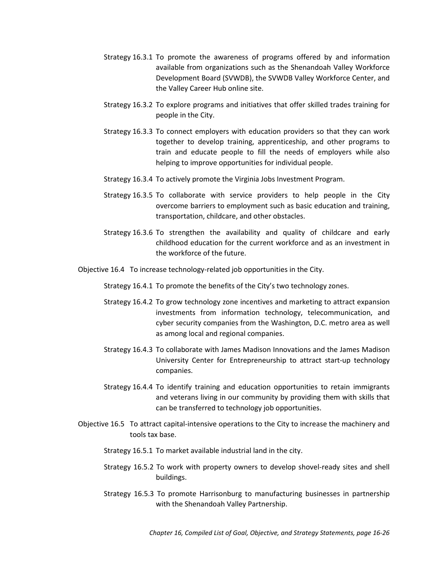- Strategy 16.3.1 To promote the awareness of programs offered by and information available from organizations such as the Shenandoah Valley Workforce Development Board (SVWDB), the SVWDB Valley Workforce Center, and the Valley Career Hub online site.
- Strategy 16.3.2 To explore programs and initiatives that offer skilled trades training for people in the City.
- Strategy 16.3.3 To connect employers with education providers so that they can work together to develop training, apprenticeship, and other programs to train and educate people to fill the needs of employers while also helping to improve opportunities for individual people.
- Strategy 16.3.4 To actively promote the Virginia Jobs Investment Program.
- Strategy 16.3.5 To collaborate with service providers to help people in the City overcome barriers to employment such as basic education and training, transportation, childcare, and other obstacles.
- Strategy 16.3.6 To strengthen the availability and quality of childcare and early childhood education for the current workforce and as an investment in the workforce of the future.
- Objective 16.4 To increase technology-related job opportunities in the City.
	- Strategy 16.4.1 To promote the benefits of the City's two technology zones.
	- Strategy 16.4.2 To grow technology zone incentives and marketing to attract expansion investments from information technology, telecommunication, and cyber security companies from the Washington, D.C. metro area as well as among local and regional companies.
	- Strategy 16.4.3 To collaborate with James Madison Innovations and the James Madison University Center for Entrepreneurship to attract start-up technology companies.
	- Strategy 16.4.4 To identify training and education opportunities to retain immigrants and veterans living in our community by providing them with skills that can be transferred to technology job opportunities.
- Objective 16.5 To attract capital-intensive operations to the City to increase the machinery and tools tax base.
	- Strategy 16.5.1 To market available industrial land in the city.
	- Strategy 16.5.2 To work with property owners to develop shovel-ready sites and shell buildings.
	- Strategy 16.5.3 To promote Harrisonburg to manufacturing businesses in partnership with the Shenandoah Valley Partnership.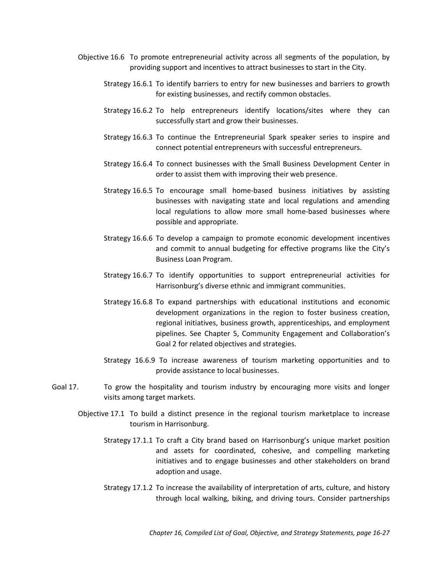- Objective 16.6 To promote entrepreneurial activity across all segments of the population, by providing support and incentives to attract businesses to start in the City.
	- Strategy 16.6.1 To identify barriers to entry for new businesses and barriers to growth for existing businesses, and rectify common obstacles.
	- Strategy 16.6.2 To help entrepreneurs identify locations/sites where they can successfully start and grow their businesses.
	- Strategy 16.6.3 To continue the Entrepreneurial Spark speaker series to inspire and connect potential entrepreneurs with successful entrepreneurs.
	- Strategy 16.6.4 To connect businesses with the Small Business Development Center in order to assist them with improving their web presence.
	- Strategy 16.6.5 To encourage small home-based business initiatives by assisting businesses with navigating state and local regulations and amending local regulations to allow more small home-based businesses where possible and appropriate.
	- Strategy 16.6.6 To develop a campaign to promote economic development incentives and commit to annual budgeting for effective programs like the City's Business Loan Program.
	- Strategy 16.6.7 To identify opportunities to support entrepreneurial activities for Harrisonburg's diverse ethnic and immigrant communities.
	- Strategy 16.6.8 To expand partnerships with educational institutions and economic development organizations in the region to foster business creation, regional initiatives, business growth, apprenticeships, and employment pipelines. See Chapter 5, Community Engagement and Collaboration's Goal 2 for related objectives and strategies.
	- Strategy 16.6.9 To increase awareness of tourism marketing opportunities and to provide assistance to local businesses.
- Goal 17. To grow the hospitality and tourism industry by encouraging more visits and longer visits among target markets.
	- Objective 17.1 To build a distinct presence in the regional tourism marketplace to increase tourism in Harrisonburg.
		- Strategy 17.1.1 To craft a City brand based on Harrisonburg's unique market position and assets for coordinated, cohesive, and compelling marketing initiatives and to engage businesses and other stakeholders on brand adoption and usage.
		- Strategy 17.1.2 To increase the availability of interpretation of arts, culture, and history through local walking, biking, and driving tours. Consider partnerships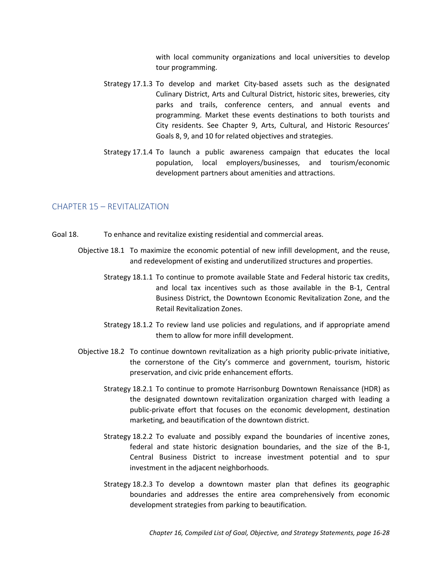with local community organizations and local universities to develop tour programming.

- Strategy 17.1.3 To develop and market City-based assets such as the designated Culinary District, Arts and Cultural District, historic sites, breweries, city parks and trails, conference centers, and annual events and programming. Market these events destinations to both tourists and City residents. See Chapter 9, Arts, Cultural, and Historic Resources' Goals 8, 9, and 10 for related objectives and strategies.
- Strategy 17.1.4 To launch a public awareness campaign that educates the local population, local employers/businesses, and tourism/economic development partners about amenities and attractions.

# CHAPTER 15 – REVITALIZATION

- Goal 18. To enhance and revitalize existing residential and commercial areas.
	- Objective 18.1 To maximize the economic potential of new infill development, and the reuse, and redevelopment of existing and underutilized structures and properties.
		- Strategy 18.1.1 To continue to promote available State and Federal historic tax credits, and local tax incentives such as those available in the B-1, Central Business District, the Downtown Economic Revitalization Zone, and the Retail Revitalization Zones.
		- Strategy 18.1.2 To review land use policies and regulations, and if appropriate amend them to allow for more infill development.
	- Objective 18.2 To continue downtown revitalization as a high priority public-private initiative, the cornerstone of the City's commerce and government, tourism, historic preservation, and civic pride enhancement efforts.
		- Strategy 18.2.1 To continue to promote Harrisonburg Downtown Renaissance (HDR) as the designated downtown revitalization organization charged with leading a public-private effort that focuses on the economic development, destination marketing, and beautification of the downtown district.
		- Strategy 18.2.2 To evaluate and possibly expand the boundaries of incentive zones, federal and state historic designation boundaries, and the size of the B-1, Central Business District to increase investment potential and to spur investment in the adjacent neighborhoods.
		- Strategy 18.2.3 To develop a downtown master plan that defines its geographic boundaries and addresses the entire area comprehensively from economic development strategies from parking to beautification.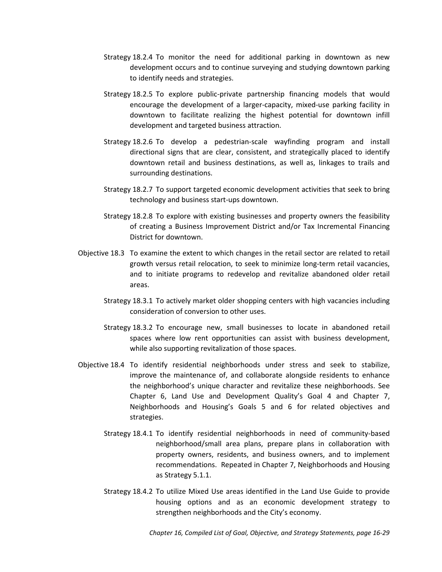- Strategy 18.2.4 To monitor the need for additional parking in downtown as new development occurs and to continue surveying and studying downtown parking to identify needs and strategies.
- Strategy 18.2.5 To explore public-private partnership financing models that would encourage the development of a larger-capacity, mixed-use parking facility in downtown to facilitate realizing the highest potential for downtown infill development and targeted business attraction.
- Strategy 18.2.6 To develop a pedestrian-scale wayfinding program and install directional signs that are clear, consistent, and strategically placed to identify downtown retail and business destinations, as well as, linkages to trails and surrounding destinations.
- Strategy 18.2.7 To support targeted economic development activities that seek to bring technology and business start-ups downtown.
- Strategy 18.2.8 To explore with existing businesses and property owners the feasibility of creating a Business Improvement District and/or Tax Incremental Financing District for downtown.
- Objective 18.3 To examine the extent to which changes in the retail sector are related to retail growth versus retail relocation, to seek to minimize long-term retail vacancies, and to initiate programs to redevelop and revitalize abandoned older retail areas.
	- Strategy 18.3.1 To actively market older shopping centers with high vacancies including consideration of conversion to other uses.
	- Strategy 18.3.2 To encourage new, small businesses to locate in abandoned retail spaces where low rent opportunities can assist with business development, while also supporting revitalization of those spaces.
- Objective 18.4 To identify residential neighborhoods under stress and seek to stabilize, improve the maintenance of, and collaborate alongside residents to enhance the neighborhood's unique character and revitalize these neighborhoods. See Chapter 6, Land Use and Development Quality's Goal 4 and Chapter 7, Neighborhoods and Housing's Goals 5 and 6 for related objectives and strategies.
	- Strategy 18.4.1 To identify residential neighborhoods in need of community-based neighborhood/small area plans, prepare plans in collaboration with property owners, residents, and business owners, and to implement recommendations. Repeated in Chapter 7, Neighborhoods and Housing as Strategy 5.1.1.
	- Strategy 18.4.2 To utilize Mixed Use areas identified in the Land Use Guide to provide housing options and as an economic development strategy to strengthen neighborhoods and the City's economy.